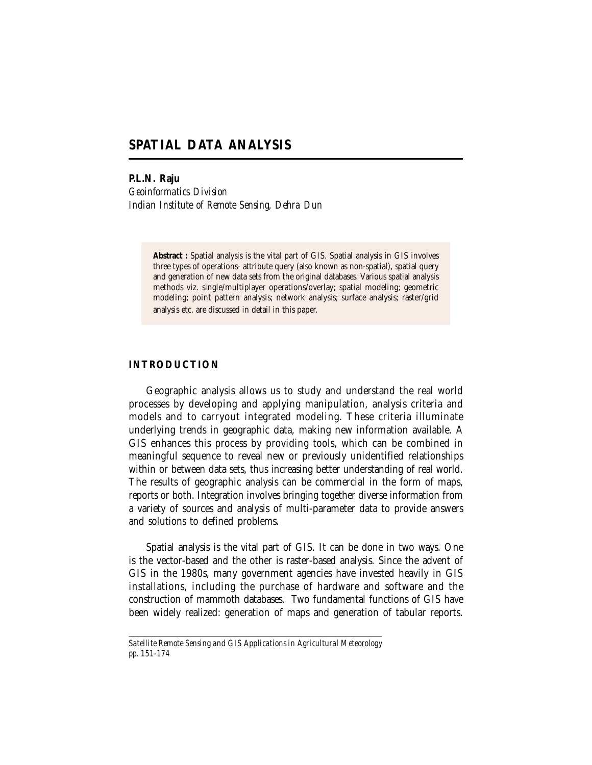# **SPATIAL DATA ANALYSIS**

**P.L.N. Raju**

*Geoinformatics Division Indian Institute of Remote Sensing, Dehra Dun*

> **Abstract :** Spatial analysis is the vital part of GIS. Spatial analysis in GIS involves three types of operations- attribute query (also known as non-spatial), spatial query and generation of new data sets from the original databases. Various spatial analysis methods viz. single/multiplayer operations/overlay; spatial modeling; geometric modeling; point pattern analysis; network analysis; surface analysis; raster/grid analysis etc. are discussed in detail in this paper.

## **INTRODUCTION**

Geographic analysis allows us to study and understand the real world processes by developing and applying manipulation, analysis criteria and models and to carryout integrated modeling. These criteria illuminate underlying trends in geographic data, making new information available. A GIS enhances this process by providing tools, which can be combined in meaningful sequence to reveal new or previously unidentified relationships within or between data sets, thus increasing better understanding of real world. The results of geographic analysis can be commercial in the form of maps, reports or both. Integration involves bringing together diverse information from a variety of sources and analysis of multi-parameter data to provide answers and solutions to defined problems.

Spatial analysis is the vital part of GIS. It can be done in two ways. One is the vector-based and the other is raster-based analysis. Since the advent of GIS in the 1980s, many government agencies have invested heavily in GIS installations, including the purchase of hardware and software and the construction of mammoth databases. Two fundamental functions of GIS have been widely realized: generation of maps and generation of tabular reports.

*Satellite Remote Sensing and GIS Applications in Agricultural Meteorology pp. 151-174*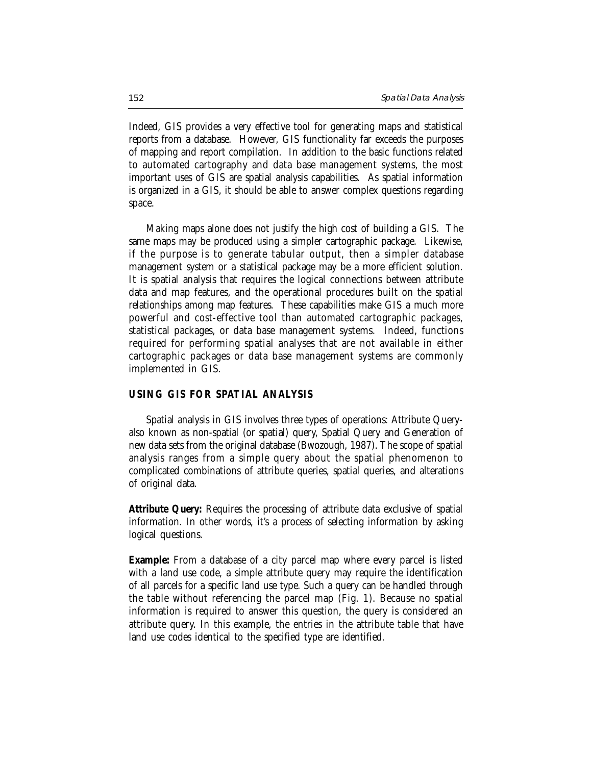Indeed, GIS provides a very effective tool for generating maps and statistical reports from a database. However, GIS functionality far exceeds the purposes of mapping and report compilation. In addition to the basic functions related to automated cartography and data base management systems, the most important uses of GIS are spatial analysis capabilities. As spatial information is organized in a GIS, it should be able to answer complex questions regarding space.

Making maps alone does not justify the high cost of building a GIS. The same maps may be produced using a simpler cartographic package. Likewise, if the purpose is to generate tabular output, then a simpler database management system or a statistical package may be a more efficient solution. It is spatial analysis that requires the logical connections between attribute data and map features, and the operational procedures built on the spatial relationships among map features. These capabilities make GIS a much more powerful and cost-effective tool than automated cartographic packages, statistical packages, or data base management systems. Indeed, functions required for performing spatial analyses that are not available in either cartographic packages or data base management systems are commonly implemented in GIS.

### **USING GIS FOR SPATIAL ANALYSIS**

Spatial analysis in GIS involves three types of operations: Attribute Queryalso known as non-spatial (or spatial) query, Spatial Query and Generation of new data sets from the original database (Bwozough, 1987). The scope of spatial analysis ranges from a simple query about the spatial phenomenon to complicated combinations of attribute queries, spatial queries, and alterations of original data.

**Attribute Query:** Requires the processing of attribute data exclusive of spatial information. In other words, it's a process of selecting information by asking logical questions.

**Example:** From a database of a city parcel map where every parcel is listed with a land use code, a simple attribute query may require the identification of all parcels for a specific land use type. Such a query can be handled through the table without referencing the parcel map (Fig. 1). Because no spatial information is required to answer this question, the query is considered an attribute query. In this example, the entries in the attribute table that have land use codes identical to the specified type are identified.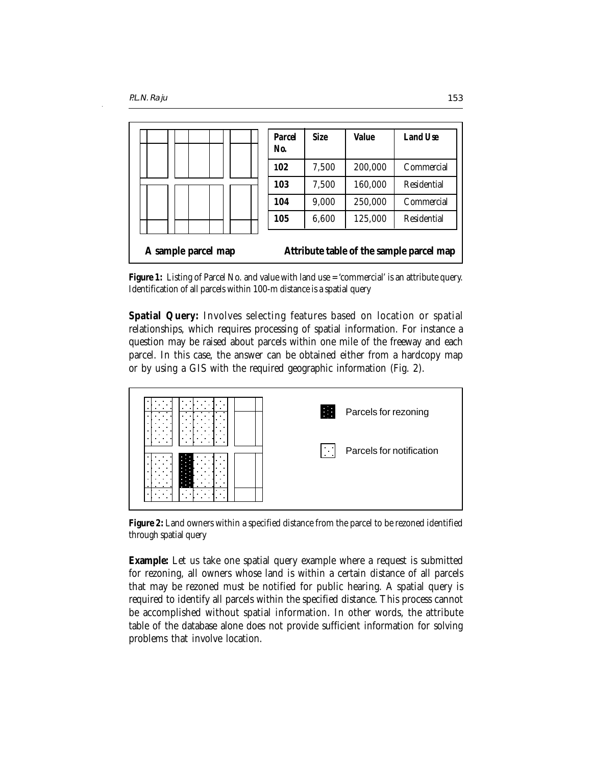|                     | <b>Parcel</b><br>No. | <b>Size</b> | Value   | Land Use                                 |
|---------------------|----------------------|-------------|---------|------------------------------------------|
|                     | 102                  | 7,500       | 200,000 | Commercial                               |
|                     | 103                  | 7,500       | 160,000 | Residential                              |
|                     | 104                  | 9,000       | 250,000 | Commercial                               |
|                     | 105                  | 6,600       | 125,000 | Residential                              |
| A sample parcel map |                      |             |         | Attribute table of the sample parcel map |

**Figure 1:** Listing of Parcel No. and value with land use = 'commercial' is an attribute query. Identification of all parcels within 100-m distance is a spatial query

**Spatial Query:** Involves selecting features based on location or spatial relationships, which requires processing of spatial information. For instance a question may be raised about parcels within one mile of the freeway and each parcel. In this case, the answer can be obtained either from a hardcopy map or by using a GIS with the required geographic information (Fig. 2).



**Figure 2:** Land owners within a specified distance from the parcel to be rezoned identified through spatial query

**Example:** Let us take one spatial query example where a request is submitted for rezoning, all owners whose land is within a certain distance of all parcels that may be rezoned must be notified for public hearing. A spatial query is required to identify all parcels within the specified distance. This process cannot be accomplished without spatial information. In other words, the attribute table of the database alone does not provide sufficient information for solving problems that involve location.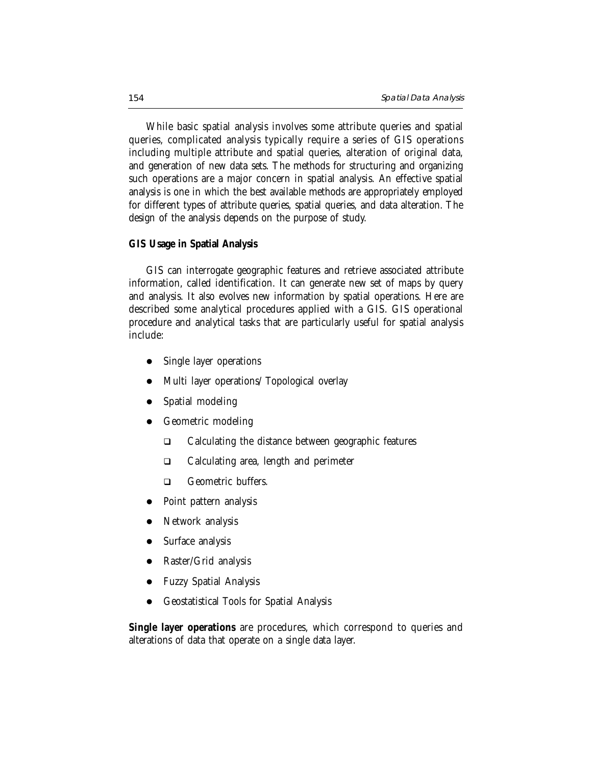While basic spatial analysis involves some attribute queries and spatial queries, complicated analysis typically require a series of GIS operations including multiple attribute and spatial queries, alteration of original data, and generation of new data sets. The methods for structuring and organizing such operations are a major concern in spatial analysis. An effective spatial analysis is one in which the best available methods are appropriately employed for different types of attribute queries, spatial queries, and data alteration. The design of the analysis depends on the purpose of study.

#### **GIS Usage in Spatial Analysis**

GIS can interrogate geographic features and retrieve associated attribute information, called identification. It can generate new set of maps by query and analysis. It also evolves new information by spatial operations. Here are described some analytical procedures applied with a GIS. GIS operational procedure and analytical tasks that are particularly useful for spatial analysis include:

- Single layer operations
- Multi layer operations/ Topological overlay
- Spatial modeling
- Geometric modeling
	- □ Calculating the distance between geographic features
	- □ Calculating area, length and perimeter
	- □ Geometric buffers.
- Point pattern analysis
- Network analysis
- Surface analysis
- Raster/Grid analysis
- Fuzzy Spatial Analysis
- z Geostatistical Tools for Spatial Analysis

**Single layer operations** are procedures, which correspond to queries and alterations of data that operate on a single data layer.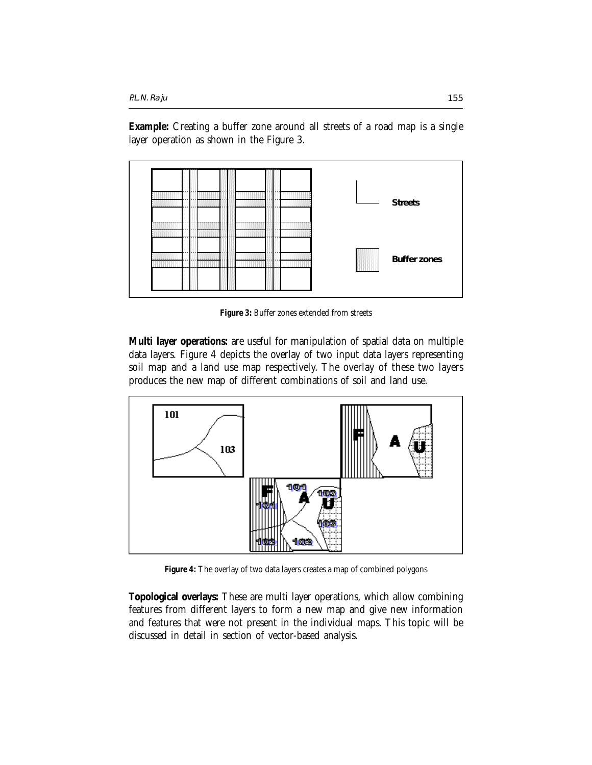**Example:** Creating a buffer zone around all streets of a road map is a single layer operation as shown in the Figure 3.



**Figure 3:** Buffer zones extended from streets

**Multi layer operations:** are useful for manipulation of spatial data on multiple data layers. Figure 4 depicts the overlay of two input data layers representing soil map and a land use map respectively. The overlay of these two layers produces the new map of different combinations of soil and land use.



**Figure 4:** The overlay of two data layers creates a map of combined polygons

**Topological overlays:** These are multi layer operations, which allow combining features from different layers to form a new map and give new information and features that were not present in the individual maps. This topic will be discussed in detail in section of vector-based analysis.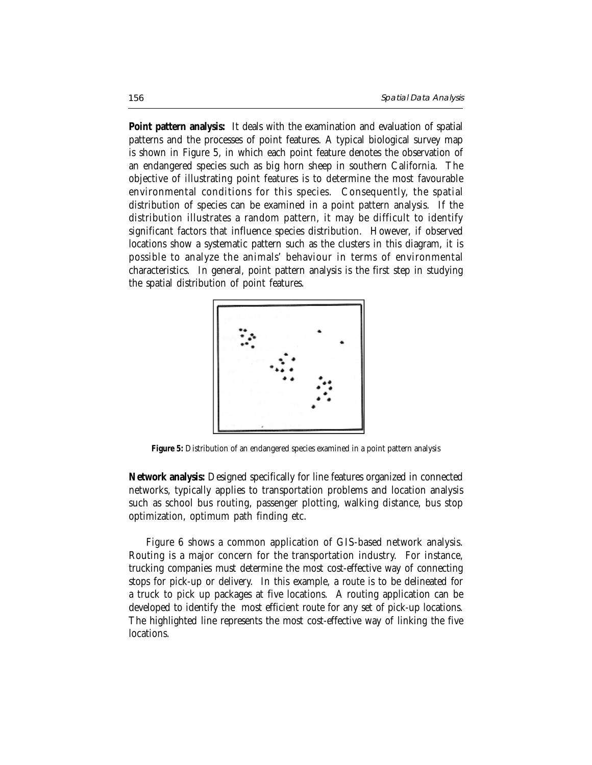**Point pattern analysis:** It deals with the examination and evaluation of spatial patterns and the processes of point features. A typical biological survey map is shown in Figure 5, in which each point feature denotes the observation of an endangered species such as big horn sheep in southern California. The objective of illustrating point features is to determine the most favourable environmental conditions for this species. Consequently, the spatial distribution of species can be examined in a point pattern analysis. If the distribution illustrates a random pattern, it may be difficult to identify significant factors that influence species distribution. However, if observed locations show a systematic pattern such as the clusters in this diagram, it is possible to analyze the animals' behaviour in terms of environmental characteristics. In general, point pattern analysis is the first step in studying the spatial distribution of point features.



**Figure 5:** Distribution of an endangered species examined in a point pattern analysis

**Network analysis:** Designed specifically for line features organized in connected networks, typically applies to transportation problems and location analysis such as school bus routing, passenger plotting, walking distance, bus stop optimization, optimum path finding etc.

Figure 6 shows a common application of GIS-based network analysis. Routing is a major concern for the transportation industry. For instance, trucking companies must determine the most cost-effective way of connecting stops for pick-up or delivery. In this example, a route is to be delineated for a truck to pick up packages at five locations. A routing application can be developed to identify the most efficient route for any set of pick-up locations. The highlighted line represents the most cost-effective way of linking the five locations.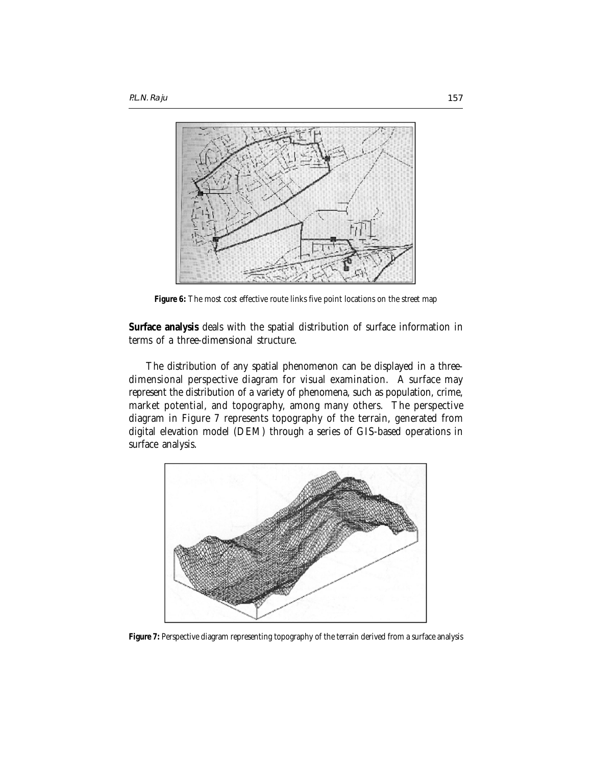

**Figure 6:** The most cost effective route links five point locations on the street map

**Surface analysis** deals with the spatial distribution of surface information in terms of a three-dimensional structure.

The distribution of any spatial phenomenon can be displayed in a threedimensional perspective diagram for visual examination. A surface may represent the distribution of a variety of phenomena, such as population, crime, market potential, and topography, among many others. The perspective diagram in Figure 7 represents topography of the terrain, generated from digital elevation model (DEM) through a series of GIS-based operations in surface analysis.



**Figure 7:** Perspective diagram representing topography of the terrain derived from a surface analysis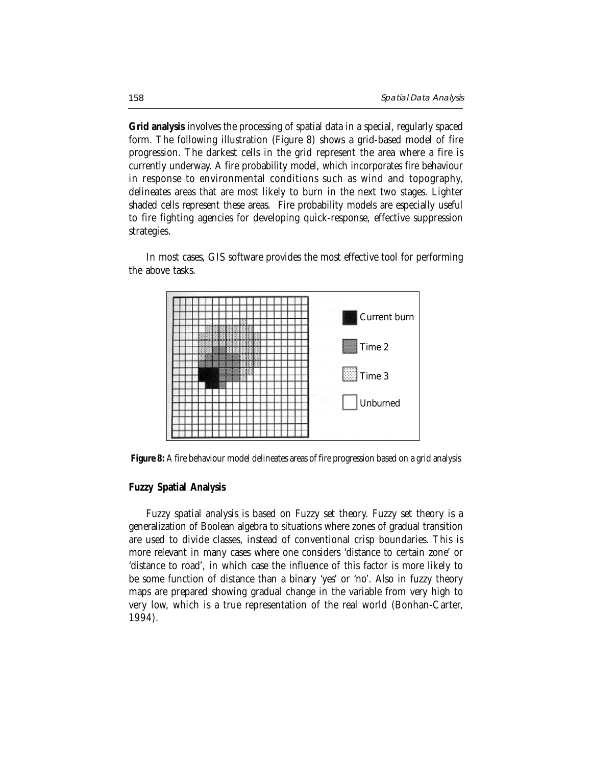**Grid analysis** involves the processing of spatial data in a special, regularly spaced form. The following illustration (Figure 8) shows a grid-based model of fire progression. The darkest cells in the grid represent the area where a fire is currently underway. A fire probability model, which incorporates fire behaviour in response to environmental conditions such as wind and topography, delineates areas that are most likely to burn in the next two stages. Lighter shaded cells represent these areas. Fire probability models are especially useful to fire fighting agencies for developing quick-response, effective suppression strategies.

In most cases, GIS software provides the most effective tool for performing the above tasks.



**Figure 8:** A fire behaviour model delineates areas of fire progression based on a grid analysis

## **Fuzzy Spatial Analysis**

Fuzzy spatial analysis is based on Fuzzy set theory. Fuzzy set theory is a generalization of Boolean algebra to situations where zones of gradual transition are used to divide classes, instead of conventional crisp boundaries. This is more relevant in many cases where one considers 'distance to certain zone' or 'distance to road', in which case the influence of this factor is more likely to be some function of distance than a binary 'yes' or 'no'. Also in fuzzy theory maps are prepared showing gradual change in the variable from very high to very low, which is a true representation of the real world (Bonhan-Carter, 1994).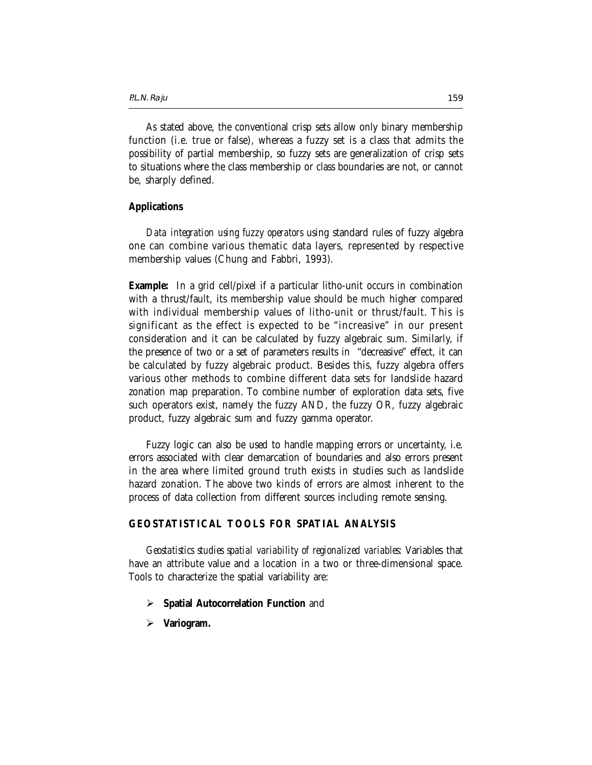As stated above, the conventional crisp sets allow only binary membership function (i.e. true or false), whereas a fuzzy set is a class that admits the possibility of partial membership, so fuzzy sets are generalization of crisp sets to situations where the class membership or class boundaries are not, or cannot be, sharply defined.

## **Applications**

*Data integration using fuzzy operators* using standard rules of fuzzy algebra one can combine various thematic data layers, represented by respective membership values (Chung and Fabbri, 1993).

**Example:** In a grid cell/pixel if a particular litho-unit occurs in combination with a thrust/fault, its membership value should be much higher compared with individual membership values of litho-unit or thrust/fault. This is significant as the effect is expected to be "increasive" in our present consideration and it can be calculated by fuzzy algebraic sum. Similarly, if the presence of two or a set of parameters results in "decreasive" effect, it can be calculated by fuzzy algebraic product. Besides this, fuzzy algebra offers various other methods to combine different data sets for landslide hazard zonation map preparation. To combine number of exploration data sets, five such operators exist, namely the fuzzy AND, the fuzzy OR, fuzzy algebraic product, fuzzy algebraic sum and fuzzy gamma operator.

Fuzzy logic can also be used to handle mapping errors or uncertainty, i.e. errors associated with clear demarcation of boundaries and also errors present in the area where limited ground truth exists in studies such as landslide hazard zonation. The above two kinds of errors are almost inherent to the process of data collection from different sources including remote sensing.

## **GEOSTATISTICAL TOOLS FOR SPATIAL ANALYSIS**

*Geostatistics studies spatial variability of regionalized variables*: Variables that have an attribute value and a location in a two or three-dimensional space. Tools to characterize the spatial variability are:

- **Spatial Autocorrelation Function** and
- ¾ **Variogram.**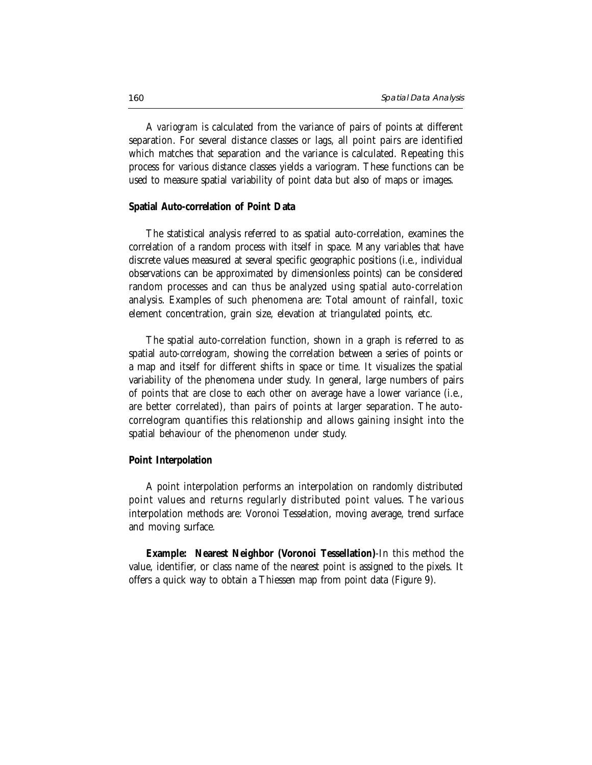A *variogram* is calculated from the variance of pairs of points at different separation. For several distance classes or lags, all point pairs are identified which matches that separation and the variance is calculated. Repeating this process for various distance classes yields a variogram. These functions can be used to measure spatial variability of point data but also of maps or images.

#### **Spatial Auto-correlation of Point Data**

The statistical analysis referred to as spatial auto-correlation, examines the correlation of a random process with itself in space. Many variables that have discrete values measured at several specific geographic positions (i.e., individual observations can be approximated by dimensionless points) can be considered random processes and can thus be analyzed using spatial auto-correlation analysis. Examples of such phenomena are: Total amount of rainfall, toxic element concentration, grain size, elevation at triangulated points, etc.

The spatial auto-correlation function, shown in a graph is referred to as spatial *auto-correlogram*, showing the correlation between a series of points or a map and itself for different shifts in space or time. It visualizes the spatial variability of the phenomena under study. In general, large numbers of pairs of points that are close to each other on average have a lower variance (i.e., are better correlated), than pairs of points at larger separation. The autocorrelogram quantifies this relationship and allows gaining insight into the spatial behaviour of the phenomenon under study.

#### **Point Interpolation**

A point interpolation performs an interpolation on randomly distributed point values and returns regularly distributed point values. The various interpolation methods are: Voronoi Tesselation, moving average, trend surface and moving surface.

**Example: Nearest Neighbor (Voronoi Tessellation)**-In this method the value, identifier, or class name of the nearest point is assigned to the pixels. It offers a quick way to obtain a Thiessen map from point data (Figure 9).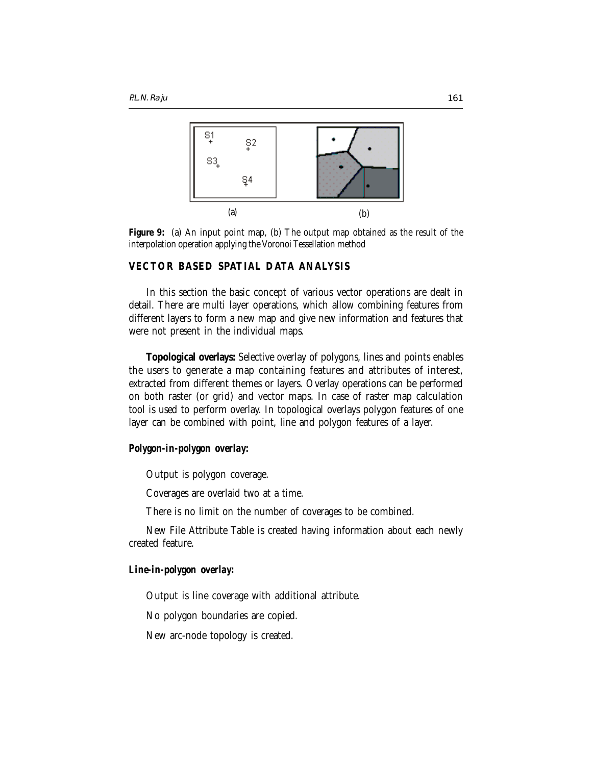

**Figure 9:** (a) An input point map, (b) The output map obtained as the result of the interpolation operation applying the Voronoi Tessellation method

## **VECTOR BASED SPATIAL DATA ANALYSIS**

In this section the basic concept of various vector operations are dealt in detail. There are multi layer operations, which allow combining features from different layers to form a new map and give new information and features that were not present in the individual maps.

**Topological overlays:** Selective overlay of polygons, lines and points enables the users to generate a map containing features and attributes of interest, extracted from different themes or layers. Overlay operations can be performed on both raster (or grid) and vector maps. In case of raster map calculation tool is used to perform overlay. In topological overlays polygon features of one layer can be combined with point, line and polygon features of a layer.

## *Polygon-in-polygon overlay:*

Output is polygon coverage.

Coverages are overlaid two at a time.

There is no limit on the number of coverages to be combined.

New File Attribute Table is created having information about each newly created feature.

## *Line-in-polygon overlay:*

Output is line coverage with additional attribute.

No polygon boundaries are copied.

New arc-node topology is created.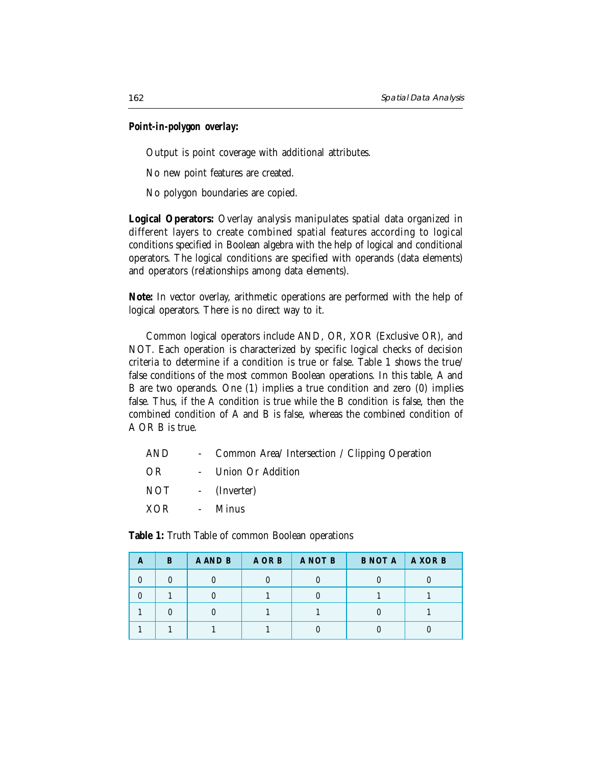## *Point-in-polygon overlay***:**

Output is point coverage with additional attributes.

No new point features are created.

No polygon boundaries are copied.

**Logical Operators:** Overlay analysis manipulates spatial data organized in different layers to create combined spatial features according to logical conditions specified in Boolean algebra with the help of logical and conditional operators. The logical conditions are specified with operands (data elements) and operators (relationships among data elements).

**Note:** In vector overlay, arithmetic operations are performed with the help of logical operators. There is no direct way to it.

Common logical operators include AND, OR, XOR (Exclusive OR), and NOT. Each operation is characterized by specific logical checks of decision criteria to determine if a condition is true or false. Table 1 shows the true/ false conditions of the most common Boolean operations. In this table, A and B are two operands. One (1) implies a true condition and zero (0) implies false. Thus, if the A condition is true while the B condition is false, then the combined condition of A and B is false, whereas the combined condition of A OR B is true.

| AND              | - Common Area/ Intersection / Clipping Operation |
|------------------|--------------------------------------------------|
| OR               | - Union Or Addition                              |
| NOT - (Inverter) |                                                  |
| XOR - Minus      |                                                  |

**Table 1:** Truth Table of common Boolean operations

| A | B | A AND B | A OR B | A NOT B | <b>B NOT A</b> | A XOR B |
|---|---|---------|--------|---------|----------------|---------|
|   |   |         |        |         |                |         |
|   |   |         |        |         |                |         |
|   |   |         |        |         |                |         |
|   |   |         |        |         |                |         |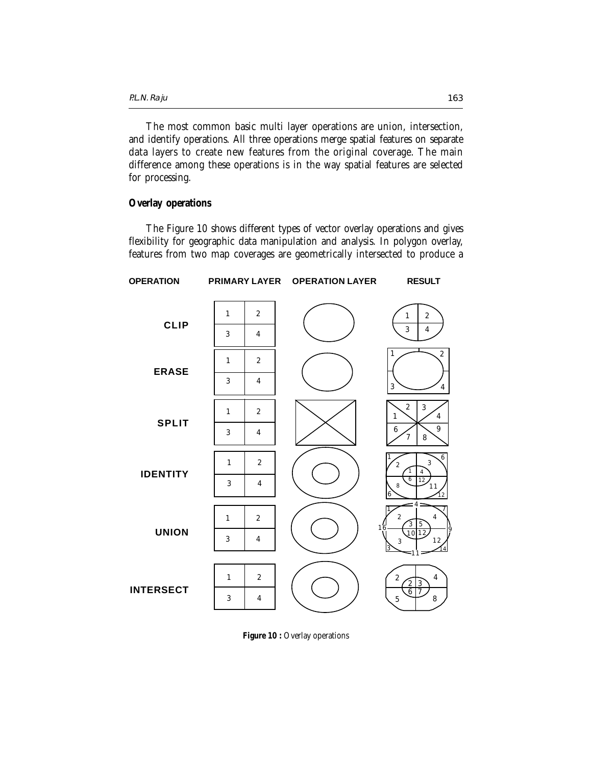The most common basic multi layer operations are union, intersection, and identify operations. All three operations merge spatial features on separate data layers to create new features from the original coverage. The main difference among these operations is in the way spatial features are selected for processing.

#### **Overlay operations**

The Figure 10 shows different types of vector overlay operations and gives flexibility for geographic data manipulation and analysis. In polygon overlay, features from two map coverages are geometrically intersected to produce a



Figure 10 : Overlay operations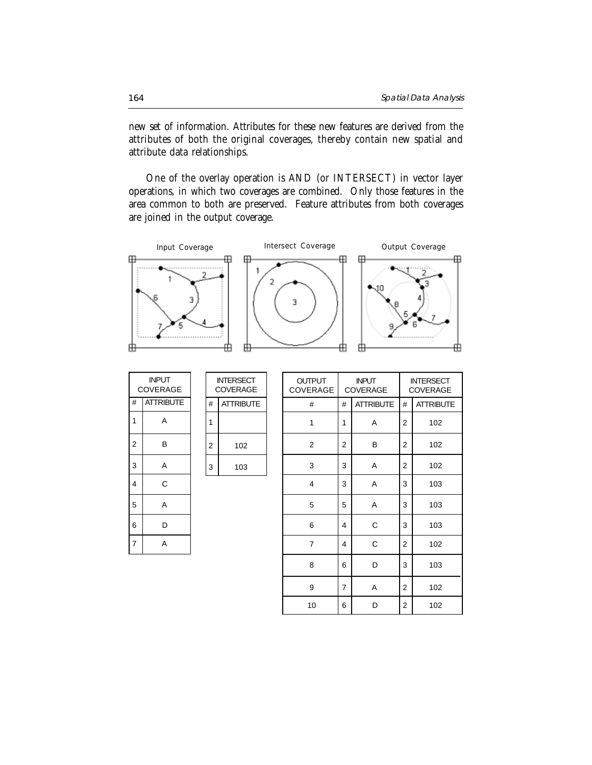new set of information. Attributes for these new features are derived from the attributes of both the original coverages, thereby contain new spatial and attribute data relationships.

One of the overlay operation is AND (or INTERSECT) in vector layer operations, in which two coverages are combined. Only those features in the area common to both are preserved. Feature attributes from both coverages are joined in the output coverage.



|                | INPUT<br><b>COVERAGE</b> |  |  |  |  |  |  |  |  |  |
|----------------|--------------------------|--|--|--|--|--|--|--|--|--|
| #              | <b>ATTRIBUTE</b>         |  |  |  |  |  |  |  |  |  |
| 1              | А                        |  |  |  |  |  |  |  |  |  |
| $\overline{c}$ | В                        |  |  |  |  |  |  |  |  |  |
| 3              | А                        |  |  |  |  |  |  |  |  |  |
| 4              | Ć                        |  |  |  |  |  |  |  |  |  |
| 5              | А                        |  |  |  |  |  |  |  |  |  |
| 6              | D                        |  |  |  |  |  |  |  |  |  |
| $\overline{7}$ |                          |  |  |  |  |  |  |  |  |  |

|                | INTERSECT<br>COVERAGE |
|----------------|-----------------------|
| #              | <b>ATTRIBUTE</b>      |
|                |                       |
| $\overline{2}$ | 102                   |
| 3              | 103                   |

| <b>OUTPUT</b><br>COVERAGE |                       | <b>INPUT</b><br>COVERAGE | <b>INTERSECT</b><br><b>COVERAGE</b> |                  |  |  |
|---------------------------|-----------------------|--------------------------|-------------------------------------|------------------|--|--|
| #                         | <b>ATTRIBUTE</b><br># |                          |                                     | <b>ATTRIBUTE</b> |  |  |
| 1                         | 1                     | A                        | 2                                   | 102              |  |  |
| $\overline{2}$            | 2                     | B                        | 2                                   | 102              |  |  |
| 3                         | 3                     | Α                        | 2                                   | 102              |  |  |
| 4                         | 3                     | Α                        | 3                                   | 103              |  |  |
| 5                         | 5                     | Α                        | 3                                   | 103              |  |  |
| 6                         | 4                     | C                        | 3                                   | 103              |  |  |
| $\overline{7}$            | 4                     | C                        | 2                                   | 102              |  |  |
| 8                         | 6                     | D                        | 3                                   | 103              |  |  |
| 9                         | 7                     | A                        | 2                                   | 102              |  |  |
| 10                        | 6                     | D                        | 2                                   | 102              |  |  |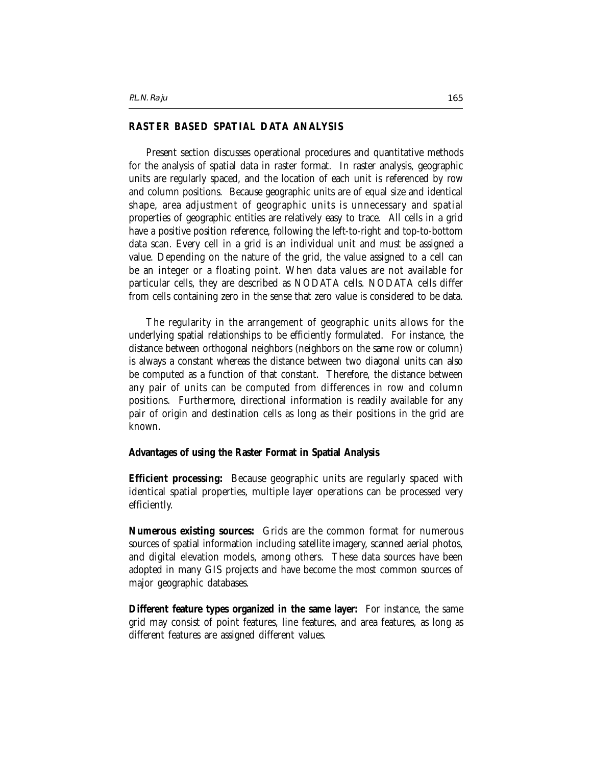## **RASTER BASED SPATIAL DATA ANALYSIS**

Present section discusses operational procedures and quantitative methods for the analysis of spatial data in raster format. In raster analysis, geographic units are regularly spaced, and the location of each unit is referenced by row and column positions. Because geographic units are of equal size and identical shape, area adjustment of geographic units is unnecessary and spatial properties of geographic entities are relatively easy to trace. All cells in a grid have a positive position reference, following the left-to-right and top-to-bottom data scan. Every cell in a grid is an individual unit and must be assigned a value. Depending on the nature of the grid, the value assigned to a cell can be an integer or a floating point. When data values are not available for particular cells, they are described as NODATA cells. NODATA cells differ from cells containing zero in the sense that zero value is considered to be data.

The regularity in the arrangement of geographic units allows for the underlying spatial relationships to be efficiently formulated. For instance, the distance between orthogonal neighbors (neighbors on the same row or column) is always a constant whereas the distance between two diagonal units can also be computed as a function of that constant. Therefore, the distance between any pair of units can be computed from differences in row and column positions. Furthermore, directional information is readily available for any pair of origin and destination cells as long as their positions in the grid are known.

#### **Advantages of using the Raster Format in Spatial Analysis**

**Efficient processing:** Because geographic units are regularly spaced with identical spatial properties, multiple layer operations can be processed very efficiently.

**Numerous existing sources:** Grids are the common format for numerous sources of spatial information including satellite imagery, scanned aerial photos, and digital elevation models, among others. These data sources have been adopted in many GIS projects and have become the most common sources of major geographic databases.

**Different feature types organized in the same layer:** For instance, the same grid may consist of point features, line features, and area features, as long as different features are assigned different values.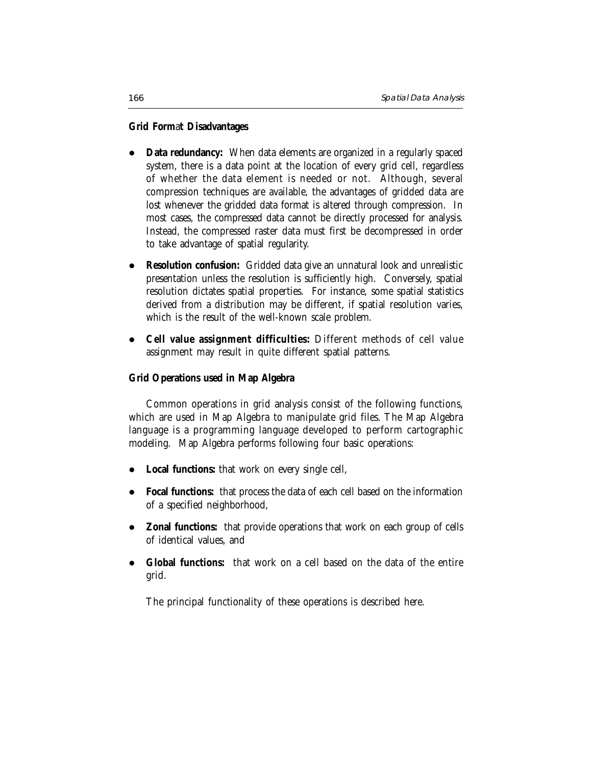## **Grid Form**a**t Disadvantages**

- Data redundancy: When data elements are organized in a regularly spaced system, there is a data point at the location of every grid cell, regardless of whether the data element is needed or not. Although, several compression techniques are available, the advantages of gridded data are lost whenever the gridded data format is altered through compression. In most cases, the compressed data cannot be directly processed for analysis. Instead, the compressed raster data must first be decompressed in order to take advantage of spatial regularity.
- **Resolution confusion:** Gridded data give an unnatural look and unrealistic presentation unless the resolution is sufficiently high. Conversely, spatial resolution dictates spatial properties. For instance, some spatial statistics derived from a distribution may be different, if spatial resolution varies, which is the result of the well-known scale problem.
- z **Cell value assignment difficulties:** Different methods of cell value assignment may result in quite different spatial patterns.

## **Grid Operations used in Map Algebra**

Common operations in grid analysis consist of the following functions, which are used in Map Algebra to manipulate grid files. The Map Algebra language is a programming language developed to perform cartographic modeling. Map Algebra performs following four basic operations:

- Local functions: that work on every single cell,
- **Focal functions:** that process the data of each cell based on the information of a specified neighborhood,
- **Zonal functions:** that provide operations that work on each group of cells of identical values, and
- **Global functions:** that work on a cell based on the data of the entire grid.

The principal functionality of these operations is described here.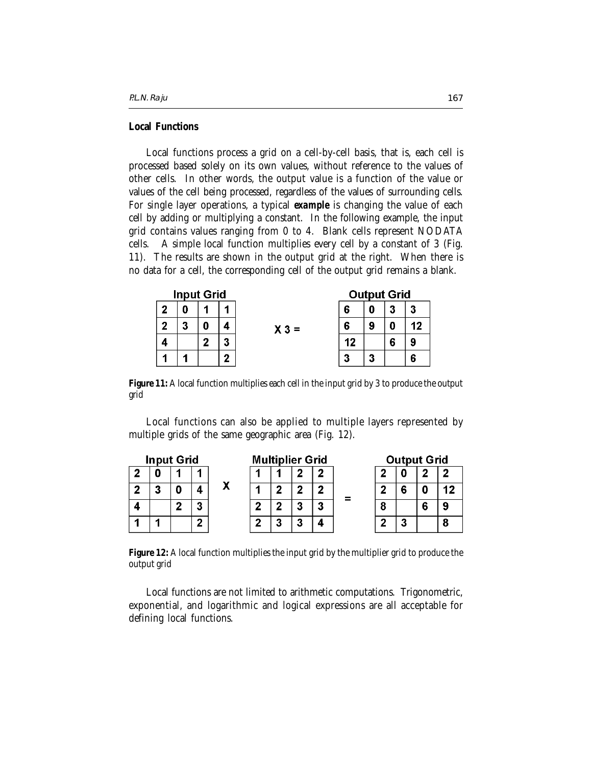## **Local Functions**

Local functions process a grid on a cell-by-cell basis, that is, each cell is processed based solely on its own values, without reference to the values of other cells. In other words, the output value is a function of the value or values of the cell being processed, regardless of the values of surrounding cells. For single layer operations, a typical *example* is changing the value of each cell by adding or multiplying a constant. In the following example, the input grid contains values ranging from 0 to 4. Blank cells represent NODATA cells. A simple local function multiplies every cell by a constant of 3 (Fig. 11). The results are shown in the output grid at the right. When there is no data for a cell, the corresponding cell of the output grid remains a blank.

|   | <b>Input Grid</b> |   |   |        |    | <b>Output Grid</b> |   |    |
|---|-------------------|---|---|--------|----|--------------------|---|----|
| э |                   |   |   |        | 6  |                    | 3 | 3  |
|   | 3                 |   |   | $X3 =$ | 6  | 9                  | Ω | 12 |
|   |                   | c | າ |        | 12 |                    | 6 | g  |
|   |                   |   |   |        |    |                    |   | F  |

**Figure 11:** A local function multiplies each cell in the input grid by 3 to produce the output grid

Local functions can also be applied to multiple layers represented by multiple grids of the same geographic area (Fig. 12).

| <b>Input Grid</b> |    |   |         | <b>Multiplier Grid</b> |   |    |   |   | <b>Output Grid</b> |  |   |  |  |
|-------------------|----|---|---------|------------------------|---|----|---|---|--------------------|--|---|--|--|
|                   |    |   |         |                        |   |    | ∍ |   |                    |  |   |  |  |
|                   | ., |   |         |                        |   |    | ◠ |   |                    |  |   |  |  |
|                   |    | n | o<br>J. |                        | G | ,, | 3 | ÷ |                    |  |   |  |  |
|                   |    |   | ◠       |                        | m | m  | י |   |                    |  | ÷ |  |  |

**Figure 12:** A local function multiplies the input grid by the multiplier grid to produce the output grid

Local functions are not limited to arithmetic computations. Trigonometric, exponential, and logarithmic and logical expressions are all acceptable for defining local functions.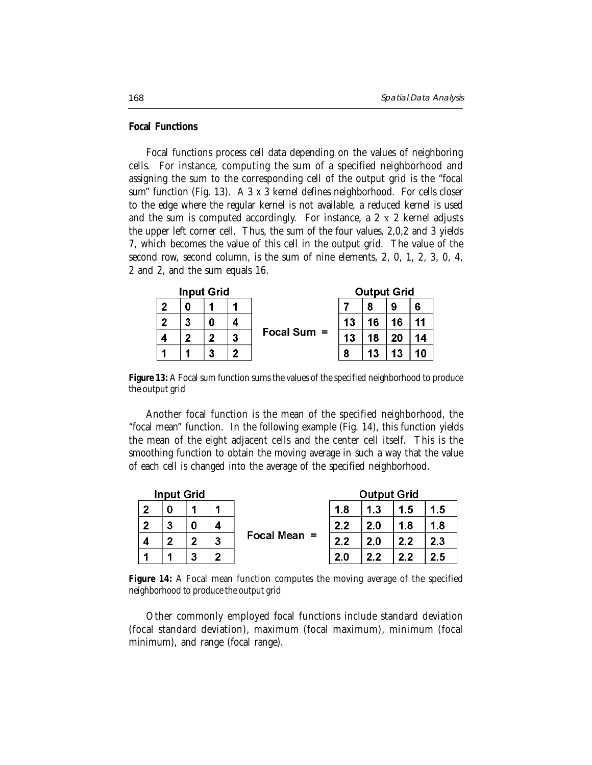#### **Focal Functions**

Focal functions process cell data depending on the values of neighboring cells. For instance, computing the sum of a specified neighborhood and assigning the sum to the corresponding cell of the output grid is the "focal sum" function (Fig. 13). A 3 x 3 kernel defines neighborhood. For cells closer to the edge where the regular kernel is not available, a reduced kernel is used and the sum is computed accordingly. For instance, a 2 x 2 kernel adjusts the upper left corner cell. Thus, the sum of the four values, 2,0,2 and 3 yields 7, which becomes the value of this cell in the output grid. The value of the second row, second column, is the sum of nine elements, 2, 0, 1, 2, 3, 0, 4, 2 and 2, and the sum equals 16.

|   |   | <b>Input Grid</b> |   |               | <b>Output Grid</b> |    |    |    |  |  |  |
|---|---|-------------------|---|---------------|--------------------|----|----|----|--|--|--|
| 2 | 0 |                   |   |               |                    | 8  | 9  | 6  |  |  |  |
| 2 | 3 | 0                 |   |               | 13                 | 16 | 16 | 11 |  |  |  |
|   | 2 | າ                 | 3 | Focal Sum $=$ | 13                 | 18 | 20 | 14 |  |  |  |
|   |   | 3                 |   |               |                    | 13 | 13 | 10 |  |  |  |

**Figure 13:** A Focal sum function sums the values of the specified neighborhood to produce the output grid

Another focal function is the mean of the specified neighborhood, the "focal mean" function. In the following example (Fig. 14), this function yields the mean of the eight adjacent cells and the center cell itself. This is the smoothing function to obtain the moving average in such a way that the value of each cell is changed into the average of the specified neighborhood.

|   | <b>Input Grid</b> |   |   | <b>Output Grid</b> |     |     |     |     |  |  |
|---|-------------------|---|---|--------------------|-----|-----|-----|-----|--|--|
| י |                   |   |   |                    | 1.8 | 1.3 | 1.5 | 1.5 |  |  |
| າ | 3                 |   |   | Focal Mean $=$     | 2.2 | 2.0 | 1.8 | 1.8 |  |  |
| 4 | ຳ                 |   | 3 |                    | 2.2 | 2.0 | 2.2 | 2.3 |  |  |
|   |                   | 3 | ◚ |                    | 2.0 | 2.2 | 2.2 | 2.5 |  |  |

**Figure 14:** A Focal mean function computes the moving average of the specified neighborhood to produce the output grid

Other commonly employed focal functions include standard deviation (focal standard deviation), maximum (focal maximum), minimum (focal minimum), and range (focal range).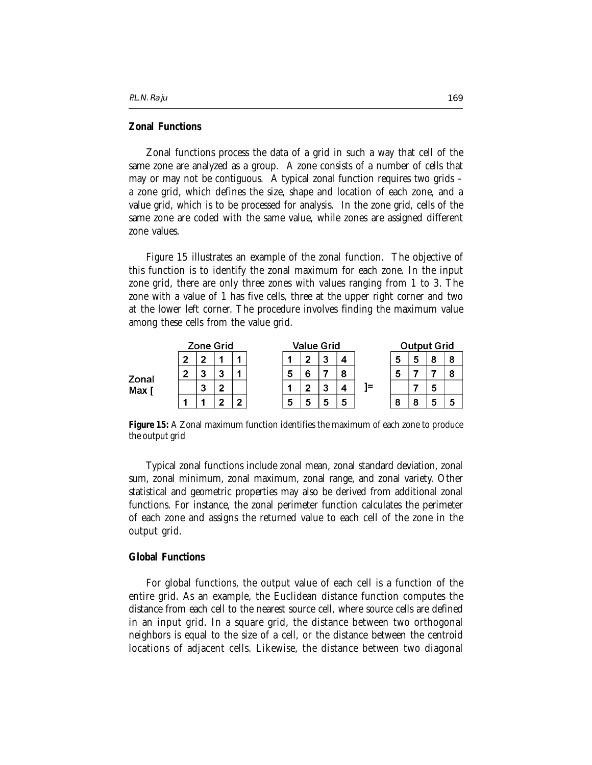## **Zonal Functions**

Zonal functions process the data of a grid in such a way that cell of the same zone are analyzed as a group. A zone consists of a number of cells that may or may not be contiguous. A typical zonal function requires two grids – a zone grid, which defines the size, shape and location of each zone, and a value grid, which is to be processed for analysis. In the zone grid, cells of the same zone are coded with the same value, while zones are assigned different zone values.

Figure 15 illustrates an example of the zonal function. The objective of this function is to identify the zonal maximum for each zone. In the input zone grid, there are only three zones with values ranging from 1 to 3. The zone with a value of 1 has five cells, three at the upper right corner and two at the lower left corner. The procedure involves finding the maximum value among these cells from the value grid.

|       |   | <b>Zone Grid</b> |        |   | <b>Value Grid</b> |   |         |    |    | <b>Output Grid</b> |   |        |   |
|-------|---|------------------|--------|---|-------------------|---|---------|----|----|--------------------|---|--------|---|
|       | າ | c                |        |   |                   | ◠ | っ<br>J  | 4  |    | 5                  | 5 | о<br>ο | 8 |
| Zonal | ີ | -<br>ີ           | -<br>w |   | 5                 | c |         | 8  |    | 5                  |   |        |   |
| Max [ |   | ,<br>s.          | m      |   |                   | c | -<br>J. | -4 | 1= |                    |   | 5      |   |
|       |   |                  | m      | ∽ | 5                 | э | 5       | 5  |    | 8                  | 8 | э      | 5 |

**Figure 15:** A Zonal maximum function identifies the maximum of each zone to produce the output grid

Typical zonal functions include zonal mean, zonal standard deviation, zonal sum, zonal minimum, zonal maximum, zonal range, and zonal variety. Other statistical and geometric properties may also be derived from additional zonal functions. For instance, the zonal perimeter function calculates the perimeter of each zone and assigns the returned value to each cell of the zone in the output grid.

## **Global Functions**

For global functions, the output value of each cell is a function of the entire grid. As an example, the Euclidean distance function computes the distance from each cell to the nearest source cell, where source cells are defined in an input grid. In a square grid, the distance between two orthogonal neighbors is equal to the size of a cell, or the distance between the centroid locations of adjacent cells. Likewise, the distance between two diagonal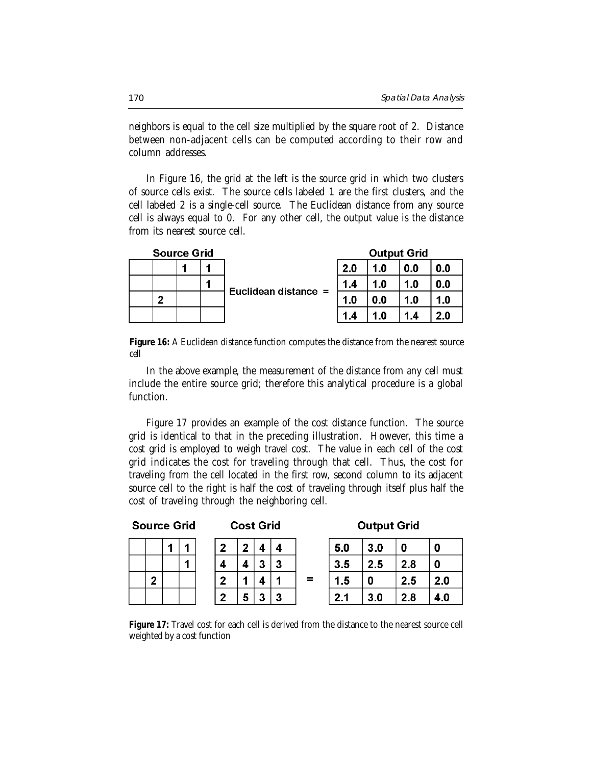neighbors is equal to the cell size multiplied by the square root of 2. Distance between non-adjacent cells can be computed according to their row and column addresses.

In Figure 16, the grid at the left is the source grid in which two clusters of source cells exist. The source cells labeled 1 are the first clusters, and the cell labeled 2 is a single-cell source. The Euclidean distance from any source cell is always equal to 0. For any other cell, the output value is the distance from its nearest source cell.

|  | <b>Source Grid</b> |   |                      |       | <b>Output Grid</b> |     |     |
|--|--------------------|---|----------------------|-------|--------------------|-----|-----|
|  |                    |   |                      | 2.0   | 1.0                | 0.0 | 0.0 |
|  |                    | A | Euclidean distance = | $1.4$ | 1.0                | 1.0 | 0.0 |
|  |                    |   |                      | 1.0   | 0.0                | 1.0 | 1.0 |
|  |                    |   |                      | 1.4   | 1.0                | 1.4 | 2.0 |

Figure 16: A Euclidean distance function computes the distance from the nearest source cell

In the above example, the measurement of the distance from any cell must include the entire source grid; therefore this analytical procedure is a global function.

Figure 17 provides an example of the cost distance function. The source grid is identical to that in the preceding illustration. However, this time a cost grid is employed to weigh travel cost. The value in each cell of the cost grid indicates the cost for traveling through that cell. Thus, the cost for traveling from the cell located in the first row, second column to its adjacent source cell to the right is half the cost of traveling through itself plus half the cost of traveling through the neighboring cell.

#### **Source Grid**

**Cost Grid** 

## **Output Grid**

|              | 1 |
|--------------|---|
|              | 1 |
| $\mathbf{2}$ |   |
|              |   |

 $\overline{\mathbf{4}}$ 4  $\overline{4}$  $\overline{\mathbf{3}}$  $\overline{3}$  $\overline{\mathbf{4}}$  $\overline{1}$  $\overline{4}$  $\overline{1}$  $\overline{2}$ 5  $\overline{3}$ 3

| 5.0 | 3.0 | 0   | 0   |
|-----|-----|-----|-----|
| 3.5 | 2.5 | 2.8 | 0   |
| 1.5 | 0   | 2.5 | 2.0 |
| 2.1 | 3.0 | 2.8 | 4.0 |

**Figure 17:** Travel cost for each cell is derived from the distance to the nearest source cell weighted by a cost function

 $=$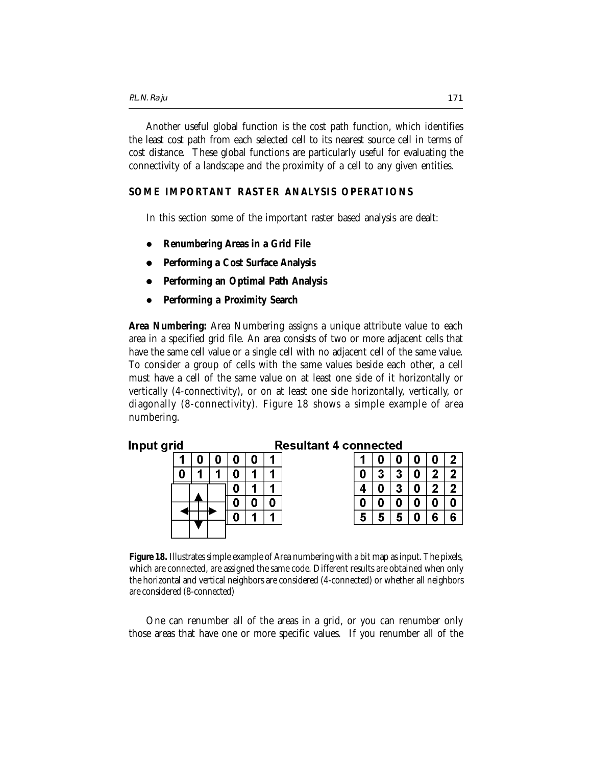Another useful global function is the cost path function, which identifies the least cost path from each selected cell to its nearest source cell in terms of cost distance. These global functions are particularly useful for evaluating the connectivity of a landscape and the proximity of a cell to any given entities.

## **SOME IMPORTANT RASTER ANALYSIS OPERATIONS**

In this section some of the important raster based analysis are dealt:

- z **Renumbering Areas in a Grid File**
- z **Performing a Cost Surface Analysis**
- z **Performing an Optimal Path Analysis**
- z **Performing a Proximity Search**

**Area Numbering:** Area Numbering assigns a unique attribute value to each area in a specified grid file. An area consists of two or more adjacent cells that have the same cell value or a single cell with no adjacent cell of the same value. To consider a group of cells with the same values beside each other, a cell must have a cell of the same value on at least one side of it horizontally or vertically (4-connectivity), or on at least one side horizontally, vertically, or diagonally (8-connectivity). Figure 18 shows a simple example of area numbering.

#### Input grid **Resultant 4 connected**

| 0 |  | я | 1 | 0 |   | 0 | 0 |  |
|---|--|---|---|---|---|---|---|--|
|   |  |   |   | 3 | 3 | D | 2 |  |
|   |  |   |   |   | 3 | D | 2 |  |
|   |  |   |   |   |   |   | 0 |  |
|   |  |   |   | 5 |   |   | 6 |  |
|   |  |   |   |   |   |   |   |  |

**Figure 18.** Illustrates simple example of Area numbering with a bit map as input. The pixels, which are connected, are assigned the same code. Different results are obtained when only the horizontal and vertical neighbors are considered (4-connected) or whether all neighbors are considered (8-connected)

One can renumber all of the areas in a grid, or you can renumber only those areas that have one or more specific values. If you renumber all of the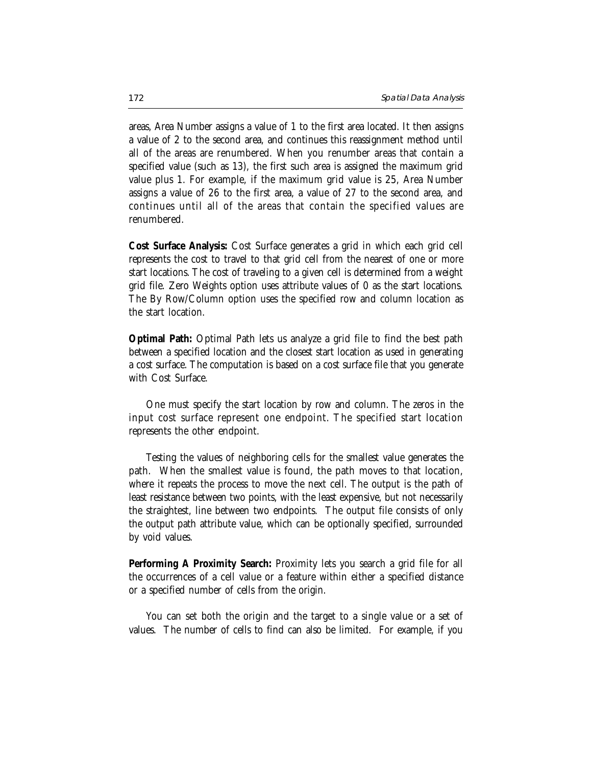areas, Area Number assigns a value of 1 to the first area located. It then assigns a value of 2 to the second area, and continues this reassignment method until all of the areas are renumbered. When you renumber areas that contain a specified value (such as 13), the first such area is assigned the maximum grid value plus 1. For example, if the maximum grid value is 25, Area Number assigns a value of 26 to the first area, a value of 27 to the second area, and continues until all of the areas that contain the specified values are renumbered.

**Cost Surface Analysis:** Cost Surface generates a grid in which each grid cell represents the cost to travel to that grid cell from the nearest of one or more start locations. The cost of traveling to a given cell is determined from a weight grid file. Zero Weights option uses attribute values of 0 as the start locations. The By Row/Column option uses the specified row and column location as the start location.

**Optimal Path:** Optimal Path lets us analyze a grid file to find the best path between a specified location and the closest start location as used in generating a cost surface. The computation is based on a cost surface file that you generate with Cost Surface.

One must specify the start location by row and column. The zeros in the input cost surface represent one endpoint. The specified start location represents the other endpoint.

Testing the values of neighboring cells for the smallest value generates the path. When the smallest value is found, the path moves to that location, where it repeats the process to move the next cell. The output is the path of least resistance between two points, with the least expensive, but not necessarily the straightest, line between two endpoints. The output file consists of only the output path attribute value, which can be optionally specified, surrounded by void values.

**Performing A Proximity Search:** Proximity lets you search a grid file for all the occurrences of a cell value or a feature within either a specified distance or a specified number of cells from the origin.

You can set both the origin and the target to a single value or a set of values. The number of cells to find can also be limited. For example, if you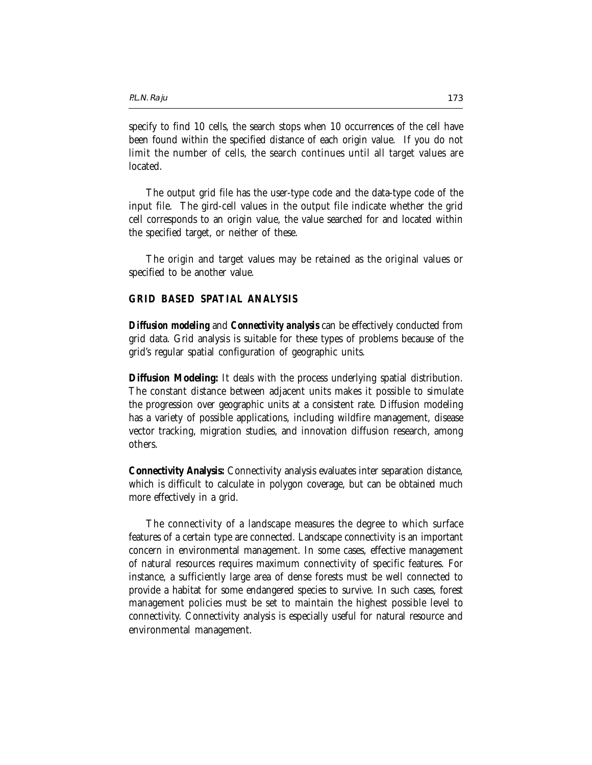specify to find 10 cells, the search stops when 10 occurrences of the cell have been found within the specified distance of each origin value. If you do not limit the number of cells, the search continues until all target values are located.

The output grid file has the user-type code and the data-type code of the input file. The gird-cell values in the output file indicate whether the grid cell corresponds to an origin value, the value searched for and located within the specified target, or neither of these.

The origin and target values may be retained as the original values or specified to be another value.

## **GRID BASED SPATIAL ANALYSIS**

*Diffusion modeling* and *Connectivity analysis* can be effectively conducted from grid data. Grid analysis is suitable for these types of problems because of the grid's regular spatial configuration of geographic units.

**Diffusion Modeling:** It deals with the process underlying spatial distribution. The constant distance between adjacent units makes it possible to simulate the progression over geographic units at a consistent rate. Diffusion modeling has a variety of possible applications, including wildfire management, disease vector tracking, migration studies, and innovation diffusion research, among others.

**Connectivity Analysis:** Connectivity analysis evaluates inter separation distance, which is difficult to calculate in polygon coverage, but can be obtained much more effectively in a grid.

The connectivity of a landscape measures the degree to which surface features of a certain type are connected. Landscape connectivity is an important concern in environmental management. In some cases, effective management of natural resources requires maximum connectivity of specific features. For instance, a sufficiently large area of dense forests must be well connected to provide a habitat for some endangered species to survive. In such cases, forest management policies must be set to maintain the highest possible level to connectivity. Connectivity analysis is especially useful for natural resource and environmental management.